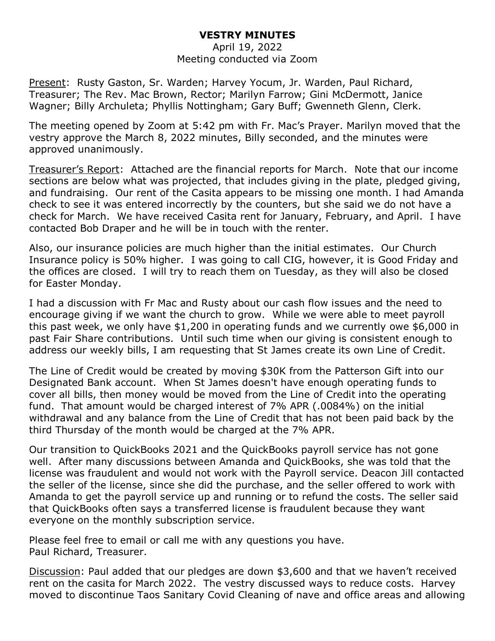## **VESTRY MINUTES**

## April 19, 2022 Meeting conducted via Zoom

Present: Rusty Gaston, Sr. Warden; Harvey Yocum, Jr. Warden, Paul Richard, Treasurer; The Rev. Mac Brown, Rector; Marilyn Farrow; Gini McDermott, Janice Wagner; Billy Archuleta; Phyllis Nottingham; Gary Buff; Gwenneth Glenn, Clerk.

The meeting opened by Zoom at 5:42 pm with Fr. Mac's Prayer. Marilyn moved that the vestry approve the March 8, 2022 minutes, Billy seconded, and the minutes were approved unanimously.

Treasurer's Report: Attached are the financial reports for March. Note that our income sections are below what was projected, that includes giving in the plate, pledged giving, and fundraising. Our rent of the Casita appears to be missing one month. I had Amanda check to see it was entered incorrectly by the counters, but she said we do not have a check for March. We have received Casita rent for January, February, and April. I have contacted Bob Draper and he will be in touch with the renter.

Also, our insurance policies are much higher than the initial estimates. Our Church Insurance policy is 50% higher. I was going to call CIG, however, it is Good Friday and the offices are closed. I will try to reach them on Tuesday, as they will also be closed for Easter Monday.

I had a discussion with Fr Mac and Rusty about our cash flow issues and the need to encourage giving if we want the church to grow. While we were able to meet payroll this past week, we only have \$1,200 in operating funds and we currently owe \$6,000 in past Fair Share contributions. Until such time when our giving is consistent enough to address our weekly bills, I am requesting that St James create its own Line of Credit.

The Line of Credit would be created by moving \$30K from the Patterson Gift into our Designated Bank account. When St James doesn't have enough operating funds to cover all bills, then money would be moved from the Line of Credit into the operating fund. That amount would be charged interest of 7% APR (.0084%) on the initial withdrawal and any balance from the Line of Credit that has not been paid back by the third Thursday of the month would be charged at the 7% APR.

Our transition to QuickBooks 2021 and the QuickBooks payroll service has not gone well. After many discussions between Amanda and QuickBooks, she was told that the license was fraudulent and would not work with the Payroll service. Deacon Jill contacted the seller of the license, since she did the purchase, and the seller offered to work with Amanda to get the payroll service up and running or to refund the costs. The seller said that QuickBooks often says a transferred license is fraudulent because they want everyone on the monthly subscription service.

Please feel free to email or call me with any questions you have. Paul Richard, Treasurer.

Discussion: Paul added that our pledges are down \$3,600 and that we haven't received rent on the casita for March 2022. The vestry discussed ways to reduce costs. Harvey moved to discontinue Taos Sanitary Covid Cleaning of nave and office areas and allowing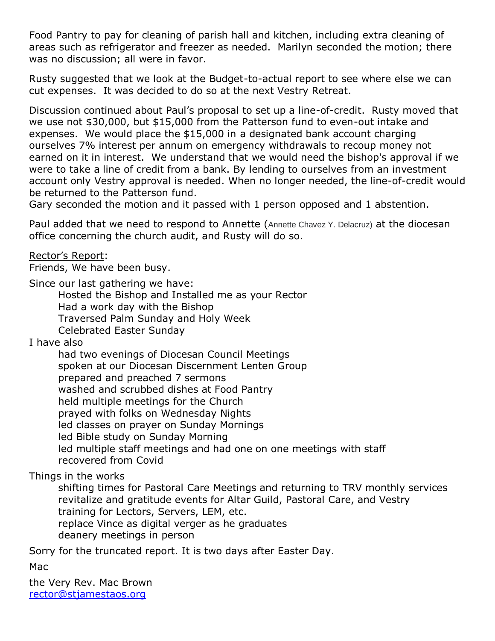Food Pantry to pay for cleaning of parish hall and kitchen, including extra cleaning of areas such as refrigerator and freezer as needed. Marilyn seconded the motion; there was no discussion; all were in favor.

Rusty suggested that we look at the Budget-to-actual report to see where else we can cut expenses. It was decided to do so at the next Vestry Retreat.

Discussion continued about Paul's proposal to set up a line-of-credit. Rusty moved that we use not \$30,000, but \$15,000 from the Patterson fund to even-out intake and expenses. We would place the \$15,000 in a designated bank account charging ourselves 7% interest per annum on emergency withdrawals to recoup money not earned on it in interest. We understand that we would need the bishop's approval if we were to take a line of credit from a bank. By lending to ourselves from an investment account only Vestry approval is needed. When no longer needed, the line-of-credit would be returned to the Patterson fund.

Gary seconded the motion and it passed with 1 person opposed and 1 abstention.

Paul added that we need to respond to Annette (Annette Chavez Y. Delacruz) at the diocesan office concerning the church audit, and Rusty will do so.

Rector's Report:

Friends, We have been busy.

Since our last gathering we have:

Hosted the Bishop and Installed me as your Rector Had a work day with the Bishop Traversed Palm Sunday and Holy Week Celebrated Easter Sunday

I have also

had two evenings of Diocesan Council Meetings spoken at our Diocesan Discernment Lenten Group prepared and preached 7 sermons washed and scrubbed dishes at Food Pantry held multiple meetings for the Church prayed with folks on Wednesday Nights led classes on prayer on Sunday Mornings led Bible study on Sunday Morning led multiple staff meetings and had one on one meetings with staff recovered from Covid

## Things in the works

shifting times for Pastoral Care Meetings and returning to TRV monthly services revitalize and gratitude events for Altar Guild, Pastoral Care, and Vestry training for Lectors, Servers, LEM, etc. replace Vince as digital verger as he graduates deanery meetings in person

Sorry for the truncated report. It is two days after Easter Day.

Mac

the Very Rev. Mac Brown [rector@stjamestaos.org](mailto:rector@stjamestaos.org)